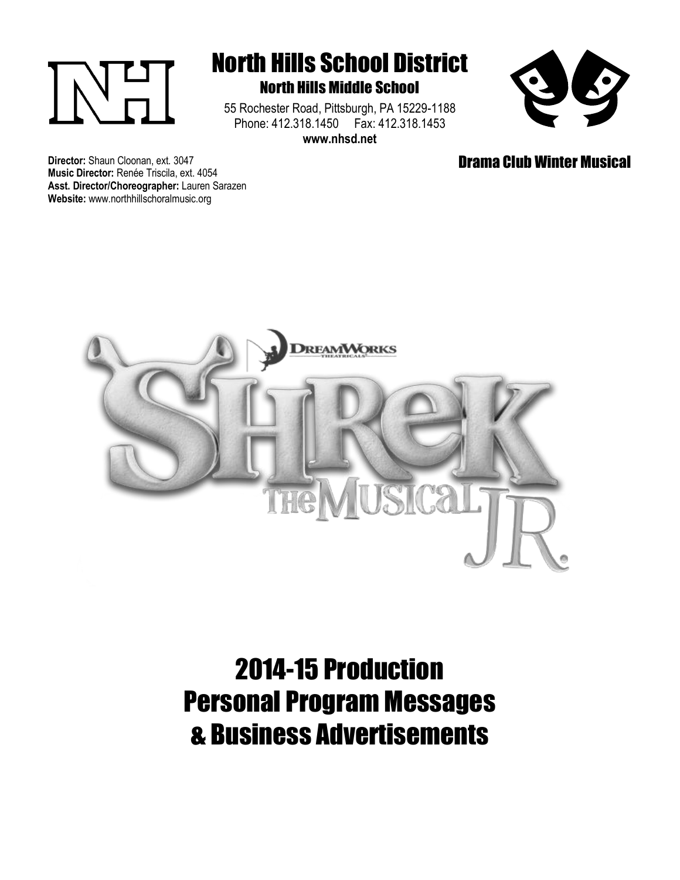

## North Hills School District North Hills Middle School

55 Rochester Road, Pittsburgh, PA 15229-1188 Phone: 412.318.1450 Fax: 412.318.1453 **www.nhsd.net**



Drama Club Winter Musical

**Director:** Shaun Cloonan, ext. 3047 **Music Director:** Renée Triscila, ext. 4054 **Asst. Director/Choreographer:** Lauren Sarazen **Website:** www.northhillschoralmusic.org



# 2014-15 Production Personal Program Messages & Business Advertisements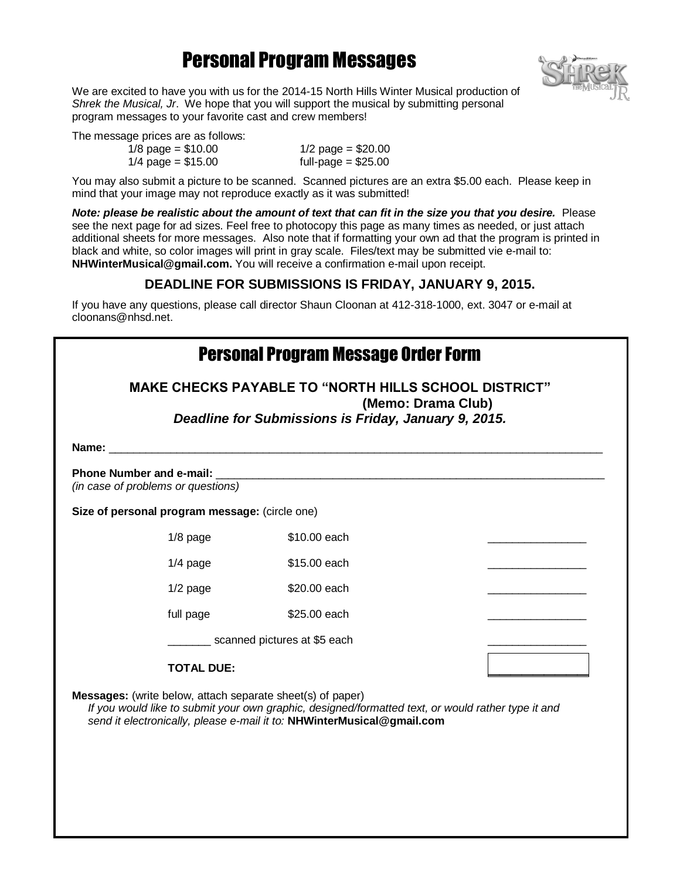## Personal Program Messages



We are excited to have you with us for the 2014-15 North Hills Winter Musical production of *Shrek the Musical, Jr*. We hope that you will support the musical by submitting personal program messages to your favorite cast and crew members!

The message prices are as follows:

 $1/8$  page = \$10.00  $1/4$  page = \$15.00

 $1/2$  page = \$20.00 full-page  $= $25.00$ 

You may also submit a picture to be scanned. Scanned pictures are an extra \$5.00 each. Please keep in mind that your image may not reproduce exactly as it was submitted!

*Note: please be realistic about the amount of text that can fit in the size you that you desire.* Please see the next page for ad sizes. Feel free to photocopy this page as many times as needed, or just attach additional sheets for more messages. Also note that if formatting your own ad that the program is printed in black and white, so color images will print in gray scale. Files/text may be submitted vie e-mail to: **NHWinterMusical@gmail.com.** You will receive a confirmation e-mail upon receipt.

#### **DEADLINE FOR SUBMISSIONS IS FRIDAY, JANUARY 9, 2015.**

If you have any questions, please call director Shaun Cloonan at 412-318-1000, ext. 3047 or e-mail at cloonans@nhsd.net.

| <b>Personal Program Message Order Form</b>                                                                                                                                                                                                        |            |              |  |  |  |  |
|---------------------------------------------------------------------------------------------------------------------------------------------------------------------------------------------------------------------------------------------------|------------|--------------|--|--|--|--|
| <b>MAKE CHECKS PAYABLE TO "NORTH HILLS SCHOOL DISTRICT"</b><br>(Memo: Drama Club)<br>Deadline for Submissions is Friday, January 9, 2015.                                                                                                         |            |              |  |  |  |  |
|                                                                                                                                                                                                                                                   |            |              |  |  |  |  |
| (in case of problems or questions)                                                                                                                                                                                                                |            |              |  |  |  |  |
| Size of personal program message: (circle one)                                                                                                                                                                                                    |            |              |  |  |  |  |
|                                                                                                                                                                                                                                                   | $1/8$ page | \$10.00 each |  |  |  |  |
|                                                                                                                                                                                                                                                   | $1/4$ page | \$15.00 each |  |  |  |  |
|                                                                                                                                                                                                                                                   | $1/2$ page | \$20.00 each |  |  |  |  |
|                                                                                                                                                                                                                                                   | full page  | \$25.00 each |  |  |  |  |
| scanned pictures at \$5 each                                                                                                                                                                                                                      |            |              |  |  |  |  |
| <b>TOTAL DUE:</b>                                                                                                                                                                                                                                 |            |              |  |  |  |  |
| <b>Messages:</b> (write below, attach separate sheet(s) of paper)<br>If you would like to submit your own graphic, designed/formatted text, or would rather type it and<br>send it electronically, please e-mail it to: NHWinterMusical@gmail.com |            |              |  |  |  |  |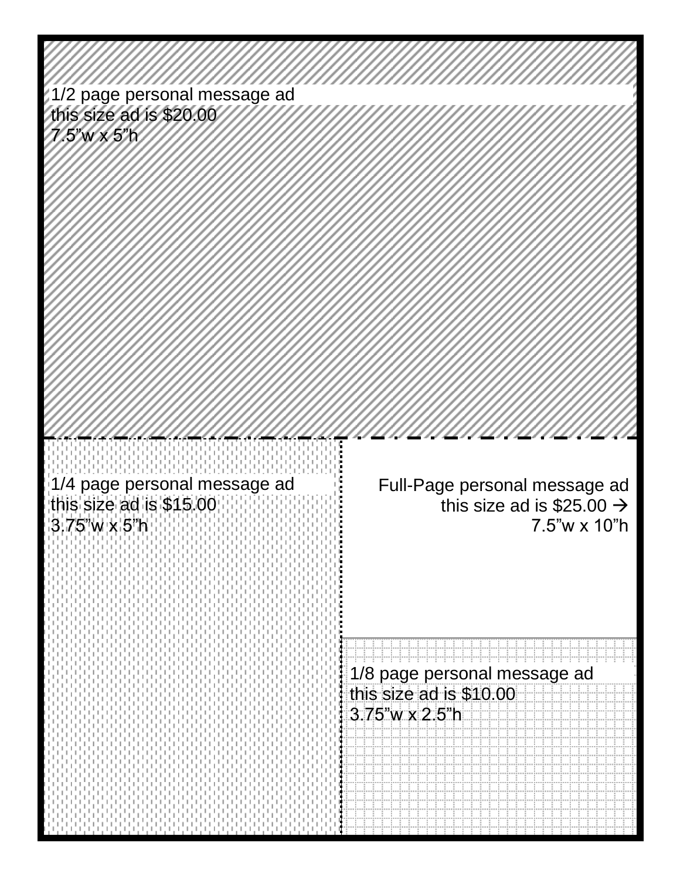| 1/2 page personal message ad<br>this size ad is \$20.00                 |                                                                                        |
|-------------------------------------------------------------------------|----------------------------------------------------------------------------------------|
| 7.5"WX5"N                                                               |                                                                                        |
|                                                                         |                                                                                        |
|                                                                         |                                                                                        |
|                                                                         |                                                                                        |
| 1/4 page personal message ad<br>this size ad is \$15.00<br>3.75"w x 5"h | Full-Page personal message ad<br>this size ad is \$25.00 $\rightarrow$<br>7.5"w x 10"h |
|                                                                         |                                                                                        |
|                                                                         | 1/8 page personal message ad                                                           |
|                                                                         | this size ad is \$10.00                                                                |
|                                                                         | $3.75$ 'w x 2.5'h                                                                      |
|                                                                         |                                                                                        |
|                                                                         |                                                                                        |
|                                                                         |                                                                                        |
|                                                                         |                                                                                        |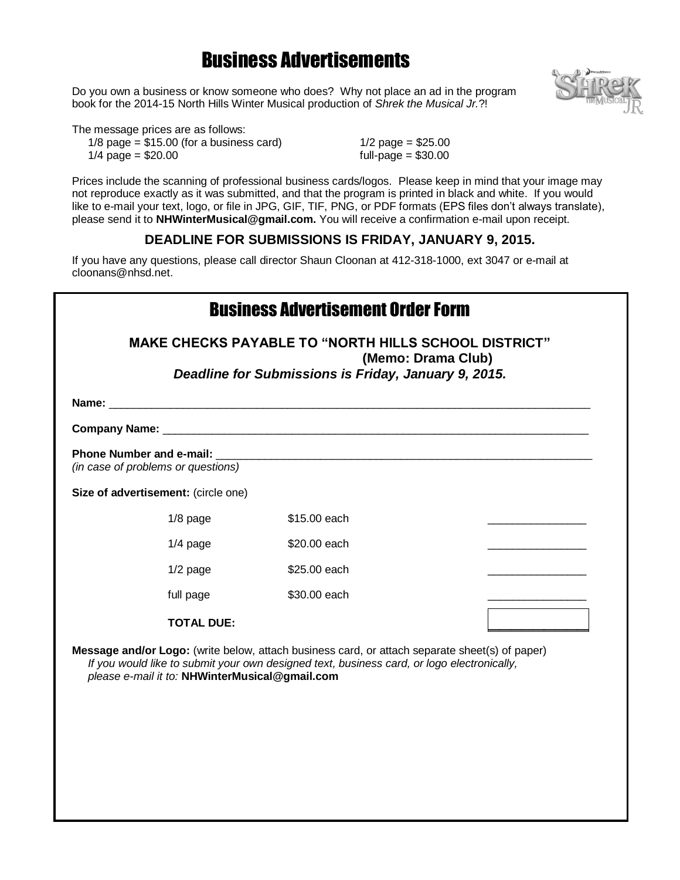## Business Advertisements

Do you own a business or know someone who does? Why not place an ad in the program book for the 2014-15 North Hills Winter Musical production of *Shrek the Musical Jr.*?!



The message prices are as follows:

 $1/8$  page =  $$15.00$  (for a business card)  $1/4$  page = \$20.00

1/2 page =  $$25.00$ full-page  $= $30.00$ 

Prices include the scanning of professional business cards/logos. Please keep in mind that your image may not reproduce exactly as it was submitted, and that the program is printed in black and white. If you would like to e-mail your text, logo, or file in JPG, GIF, TIF, PNG, or PDF formats (EPS files don't always translate), please send it to **NHWinterMusical@gmail.com.** You will receive a confirmation e-mail upon receipt.

### **DEADLINE FOR SUBMISSIONS IS FRIDAY, JANUARY 9, 2015.**

If you have any questions, please call director Shaun Cloonan at 412-318-1000, ext 3047 or e-mail at cloonans@nhsd.net.

| <b>Business Advertisement Order Form</b><br><b>MAKE CHECKS PAYABLE TO "NORTH HILLS SCHOOL DISTRICT"</b><br>(Memo: Drama Club)<br>Deadline for Submissions is Friday, January 9, 2015. |                                                                                                |  |  |  |
|---------------------------------------------------------------------------------------------------------------------------------------------------------------------------------------|------------------------------------------------------------------------------------------------|--|--|--|
|                                                                                                                                                                                       |                                                                                                |  |  |  |
|                                                                                                                                                                                       |                                                                                                |  |  |  |
| (in case of problems or questions)                                                                                                                                                    |                                                                                                |  |  |  |
| Size of advertisement: (circle one)                                                                                                                                                   |                                                                                                |  |  |  |
| $1/8$ page                                                                                                                                                                            | \$15.00 each                                                                                   |  |  |  |
| $1/4$ page                                                                                                                                                                            | \$20,00 each                                                                                   |  |  |  |
| $1/2$ page                                                                                                                                                                            | \$25.00 each                                                                                   |  |  |  |
| full page                                                                                                                                                                             | \$30.00 each                                                                                   |  |  |  |
| <b>TOTAL DUE:</b>                                                                                                                                                                     |                                                                                                |  |  |  |
|                                                                                                                                                                                       | Message and/or Logo: (write below, attach business card, or attach separate sheet(s) of paper) |  |  |  |

**ogo:** (write below, attach business card, or attach separate sheet(s)  $\epsilon$ *If you would like to submit your own designed text, business card, or logo electronically, please e-mail it to:* **NHWinterMusical@gmail.com**